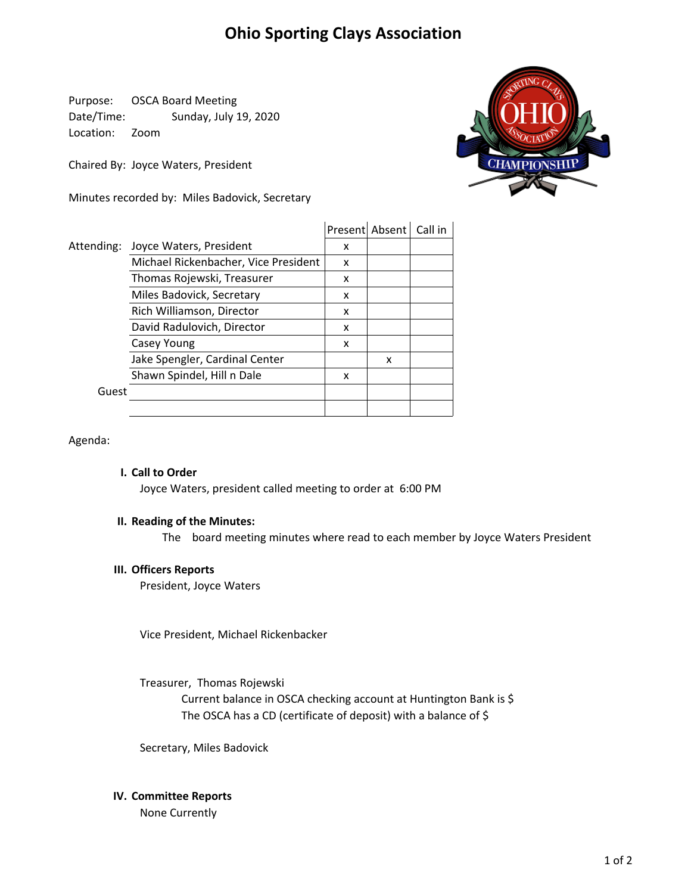# **Ohio Sporting Clays Association**

Purpose: OSCA Board Meeting Date/Time: Sunday, July 19, 2020 Location: Zoom

Chaired By: Joyce Waters, President

Minutes recorded by: Miles Badovick, Secretary



|            |                                      |   | Present Absent | Call in |
|------------|--------------------------------------|---|----------------|---------|
| Attending: | Joyce Waters, President              | x |                |         |
|            | Michael Rickenbacher, Vice President | x |                |         |
|            | Thomas Rojewski, Treasurer           | x |                |         |
|            | Miles Badovick, Secretary            | x |                |         |
|            | Rich Williamson, Director            | x |                |         |
|            | David Radulovich, Director           | x |                |         |
|            | Casey Young                          | x |                |         |
|            | Jake Spengler, Cardinal Center       |   | x              |         |
|            | Shawn Spindel, Hill n Dale           | x |                |         |
| Guest      |                                      |   |                |         |
|            |                                      |   |                |         |

Agenda:

### **I. Call to Order**

Joyce Waters, president called meeting to order at 6:00 PM

## **II. Reading of the Minutes:**

The board meeting minutes where read to each member by Joyce Waters President

#### **III. Officers Reports**

President, Joyce Waters

Vice President, Michael Rickenbacker

The OSCA has a CD (certificate of deposit) with a balance of \$ Treasurer, Thomas Rojewski Current balance in OSCA checking account at Huntington Bank is \$

Secretary, Miles Badovick

#### **IV. Committee Reports**

None Currently